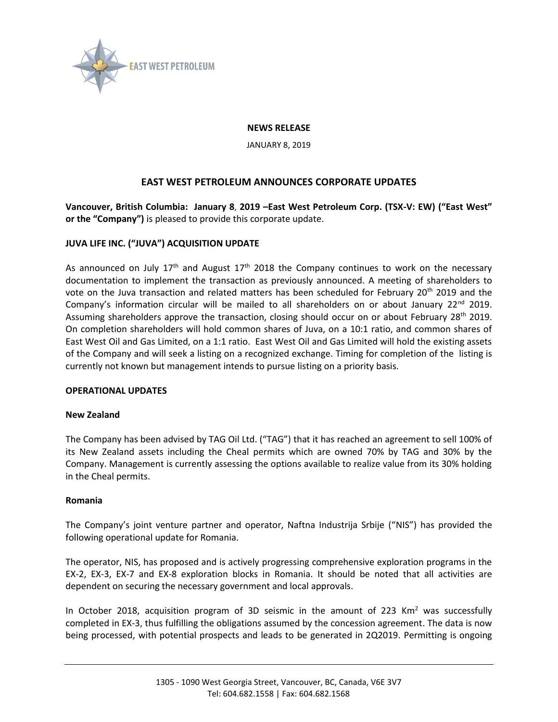

### **NEWS RELEASE**

JANUARY 8, 2019

# **EAST WEST PETROLEUM ANNOUNCES CORPORATE UPDATES**

**Vancouver, British Columbia: January 8**, **2019 –East West Petroleum Corp. (TSX-V: EW) ("East West" or the "Company")** is pleased to provide this corporate update.

## **JUVA LIFE INC. ("JUVA") ACQUISITION UPDATE**

As announced on July 17<sup>th</sup> and August 17<sup>th</sup> 2018 the Company continues to work on the necessary documentation to implement the transaction as previously announced. A meeting of shareholders to vote on the Juva transaction and related matters has been scheduled for February 20<sup>th</sup> 2019 and the Company's information circular will be mailed to all shareholders on or about January  $22^{nd}$  2019. Assuming shareholders approve the transaction, closing should occur on or about February  $28^{th}$  2019. On completion shareholders will hold common shares of Juva, on a 10:1 ratio, and common shares of East West Oil and Gas Limited, on a 1:1 ratio. East West Oil and Gas Limited will hold the existing assets of the Company and will seek a listing on a recognized exchange. Timing for completion of the listing is currently not known but management intends to pursue listing on a priority basis.

### **OPERATIONAL UPDATES**

#### **New Zealand**

The Company has been advised by TAG Oil Ltd. ("TAG") that it has reached an agreement to sell 100% of its New Zealand assets including the Cheal permits which are owned 70% by TAG and 30% by the Company. Management is currently assessing the options available to realize value from its 30% holding in the Cheal permits.

#### **Romania**

The Company's joint venture partner and operator, Naftna Industrija Srbije ("NIS") has provided the following operational update for Romania.

The operator, NIS, has proposed and is actively progressing comprehensive exploration programs in the EX-2, EX-3, EX-7 and EX-8 exploration blocks in Romania. It should be noted that all activities are dependent on securing the necessary government and local approvals.

In October 2018, acquisition program of 3D seismic in the amount of 223 Km<sup>2</sup> was successfully completed in EX-3, thus fulfilling the obligations assumed by the concession agreement. The data is now being processed, with potential prospects and leads to be generated in 2Q2019. Permitting is ongoing